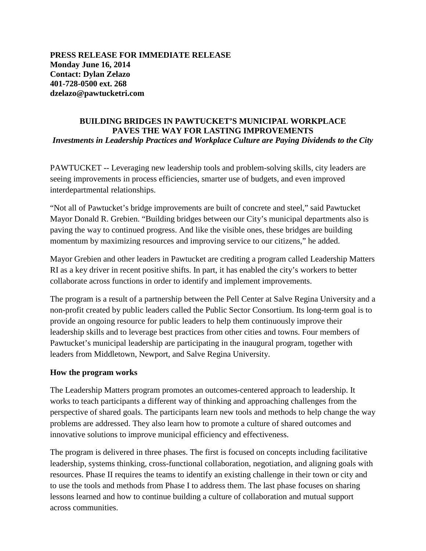**PRESS RELEASE FOR IMMEDIATE RELEASE Monday June 16, 2014 Contact: Dylan Zelazo 401-728-0500 ext. 268 dzelazo@pawtucketri.com**

## **BUILDING BRIDGES IN PAWTUCKET'S MUNICIPAL WORKPLACE PAVES THE WAY FOR LASTING IMPROVEMENTS** *Investments in Leadership Practices and Workplace Culture are Paying Dividends to the City*

PAWTUCKET -- Leveraging new leadership tools and problem-solving skills, city leaders are seeing improvements in process efficiencies, smarter use of budgets, and even improved interdepartmental relationships.

"Not all of Pawtucket's bridge improvements are built of concrete and steel," said Pawtucket Mayor Donald R. Grebien. "Building bridges between our City's municipal departments also is paving the way to continued progress. And like the visible ones, these bridges are building momentum by maximizing resources and improving service to our citizens," he added.

Mayor Grebien and other leaders in Pawtucket are crediting a program called Leadership Matters RI as a key driver in recent positive shifts. In part, it has enabled the city's workers to better collaborate across functions in order to identify and implement improvements.

The program is a result of a partnership between the Pell Center at Salve Regina University and a non-profit created by public leaders called the Public Sector Consortium. Its long-term goal is to provide an ongoing resource for public leaders to help them continuously improve their leadership skills and to leverage best practices from other cities and towns. Four members of Pawtucket's municipal leadership are participating in the inaugural program, together with leaders from Middletown, Newport, and Salve Regina University.

## **How the program works**

The Leadership Matters program promotes an outcomes-centered approach to leadership. It works to teach participants a different way of thinking and approaching challenges from the perspective of shared goals. The participants learn new tools and methods to help change the way problems are addressed. They also learn how to promote a culture of shared outcomes and innovative solutions to improve municipal efficiency and effectiveness.

The program is delivered in three phases. The first is focused on concepts including facilitative leadership, systems thinking, cross-functional collaboration, negotiation, and aligning goals with resources. Phase II requires the teams to identify an existing challenge in their town or city and to use the tools and methods from Phase I to address them. The last phase focuses on sharing lessons learned and how to continue building a culture of collaboration and mutual support across communities.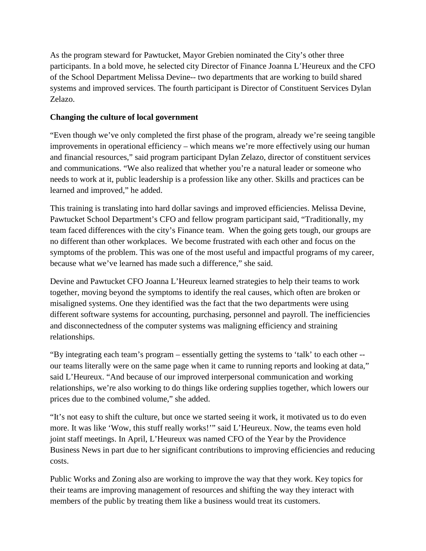As the program steward for Pawtucket, Mayor Grebien nominated the City's other three participants. In a bold move, he selected city Director of Finance Joanna L'Heureux and the CFO of the School Department Melissa Devine-- two departments that are working to build shared systems and improved services. The fourth participant is Director of Constituent Services Dylan Zelazo.

## **Changing the culture of local government**

"Even though we've only completed the first phase of the program, already we're seeing tangible improvements in operational efficiency – which means we're more effectively using our human and financial resources," said program participant Dylan Zelazo, director of constituent services and communications. "We also realized that whether you're a natural leader or someone who needs to work at it, public leadership is a profession like any other. Skills and practices can be learned and improved," he added.

This training is translating into hard dollar savings and improved efficiencies. Melissa Devine, Pawtucket School Department's CFO and fellow program participant said, "Traditionally, my team faced differences with the city's Finance team. When the going gets tough, our groups are no different than other workplaces. We become frustrated with each other and focus on the symptoms of the problem. This was one of the most useful and impactful programs of my career, because what we've learned has made such a difference," she said.

Devine and Pawtucket CFO Joanna L'Heureux learned strategies to help their teams to work together, moving beyond the symptoms to identify the real causes, which often are broken or misaligned systems. One they identified was the fact that the two departments were using different software systems for accounting, purchasing, personnel and payroll. The inefficiencies and disconnectedness of the computer systems was maligning efficiency and straining relationships.

"By integrating each team's program – essentially getting the systems to 'talk' to each other - our teams literally were on the same page when it came to running reports and looking at data," said L'Heureux. "And because of our improved interpersonal communication and working relationships, we're also working to do things like ordering supplies together, which lowers our prices due to the combined volume," she added.

"It's not easy to shift the culture, but once we started seeing it work, it motivated us to do even more. It was like 'Wow, this stuff really works!'" said L'Heureux. Now, the teams even hold joint staff meetings. In April, L'Heureux was named CFO of the Year by the Providence Business News in part due to her significant contributions to improving efficiencies and reducing costs.

Public Works and Zoning also are working to improve the way that they work. Key topics for their teams are improving management of resources and shifting the way they interact with members of the public by treating them like a business would treat its customers.